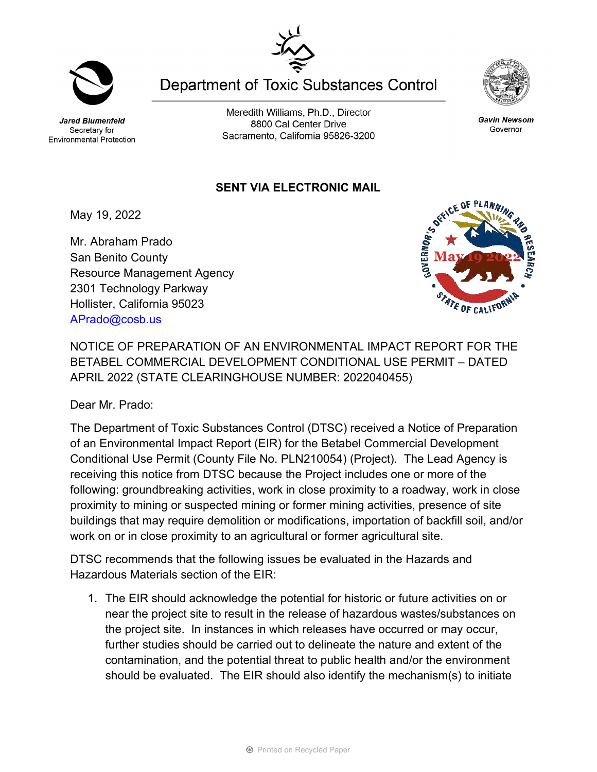Jared Blumenfeld Secretary for Environmental Protection

Meredith Williams, Ph.D., Director 8800 Cal Center Drive Sacramento, California 95826-3200

**Department of Toxic Substances Control** 

## **SENT VIA ELECTRONIC MAIL**

May 19, 2022

Mr. Abraham Prado San Benito County Resource Management Agency 2301 Technology Parkway Hollister, California 95023 [APrado@cosb.us](mailto:aprado@cosb.us)

NOTICE OF PREPARATION OF AN ENVIRONMENTAL IMPACT REPORT FOR THE BETABEL COMMERCIAL DEVELOPMENT CONDITIONAL USE PERMIT – DATED APRIL 2022 (STATE CLEARINGHOUSE NUMBER: 2022040455)

Dear Mr. Prado:

The Department of Toxic Substances Control (DTSC) received a Notice of Preparation of an Environmental Impact Report (EIR) for the Betabel Commercial Development Conditional Use Permit (County File No. PLN210054) (Project). The Lead Agency is receiving this notice from DTSC because the Project includes one or more of the following: groundbreaking activities, work in close proximity to a roadway, work in close proximity to mining or suspected mining or former mining activities, presence of site buildings that may require demolition or modifications, importation of backfill soil, and/or work on or in close proximity to an agricultural or former agricultural site.

DTSC recommends that the following issues be evaluated in the Hazards and Hazardous Materials section of the EIR:

1. The EIR should acknowledge the potential for historic or future activities on or near the project site to result in the release of hazardous wastes/substances on the project site. In instances in which releases have occurred or may occur, further studies should be carried out to delineate the nature and extent of the contamination, and the potential threat to public health and/or the environment should be evaluated. The EIR should also identify the mechanism(s) to initiate











Governor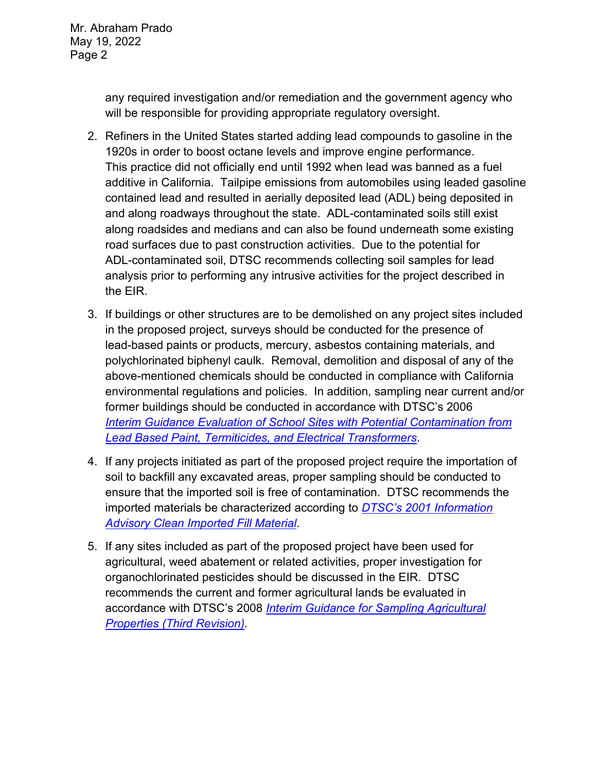Mr. Abraham Prado May 19, 2022 Page 2

> any required investigation and/or remediation and the government agency who will be responsible for providing appropriate regulatory oversight.

- 2. Refiners in the United States started adding lead compounds to gasoline in the 1920s in order to boost octane levels and improve engine performance. This practice did not officially end until 1992 when lead was banned as a fuel additive in California. Tailpipe emissions from automobiles using leaded gasoline contained lead and resulted in aerially deposited lead (ADL) being deposited in and along roadways throughout the state. ADL-contaminated soils still exist along roadsides and medians and can also be found underneath some existing road surfaces due to past construction activities. Due to the potential for ADL-contaminated soil, DTSC recommends collecting soil samples for lead analysis prior to performing any intrusive activities for the project described in the EIR.
- 3. If buildings or other structures are to be demolished on any project sites included in the proposed project, surveys should be conducted for the presence of lead-based paints or products, mercury, asbestos containing materials, and polychlorinated biphenyl caulk. Removal, demolition and disposal of any of the above-mentioned chemicals should be conducted in compliance with California environmental regulations and policies. In addition, sampling near current and/or former buildings should be conducted in accordance with DTSC's 2006 *Interim [Guidance Evaluation of School Sites with Potential Contamination from](https://dtsc.ca.gov/2020/04/17/document-request/?wpf337186_14=https://dtsc.ca.gov/wpcontent/uploads/sites/31/2018/09/Guidance_Lead_%20%20Contamination_050118.pdf)  [Lead Based Paint, Termiticides, and Electrical Transformers](https://dtsc.ca.gov/2020/04/17/document-request/?wpf337186_14=https://dtsc.ca.gov/wpcontent/uploads/sites/31/2018/09/Guidance_Lead_%20%20Contamination_050118.pdf)*.
- 4. If any projects initiated as part of the proposed project require the importation of soil to backfill any excavated areas, proper sampling should be conducted to ensure that the imported soil is free of contamination. DTSC recommends the imported materials be characterized according to *[DTSC's 2001 Information](https://dtsc.ca.gov/wp-content/uploads/sites/31/2018/09/SMP_FS_Cleanfill-Schools.pdf)  [Advisory Clean Imported Fill Material](https://dtsc.ca.gov/wp-content/uploads/sites/31/2018/09/SMP_FS_Cleanfill-Schools.pdf)*.
- 5. If any sites included as part of the proposed project have been used for agricultural, weed abatement or related activities, proper investigation for organochlorinated pesticides should be discussed in the EIR. DTSC recommends the current and former agricultural lands be evaluated in accordance with DTSC's 2008 *[Interim Guidance for Sampling Agricultural](https://dtsc.ca.gov/wp-content/uploads/sites/31/2018/09/Ag-Guidance-Rev-3-August-7-2008-2.pdf)  [Properties \(Third Revision\).](https://dtsc.ca.gov/wp-content/uploads/sites/31/2018/09/Ag-Guidance-Rev-3-August-7-2008-2.pdf)*